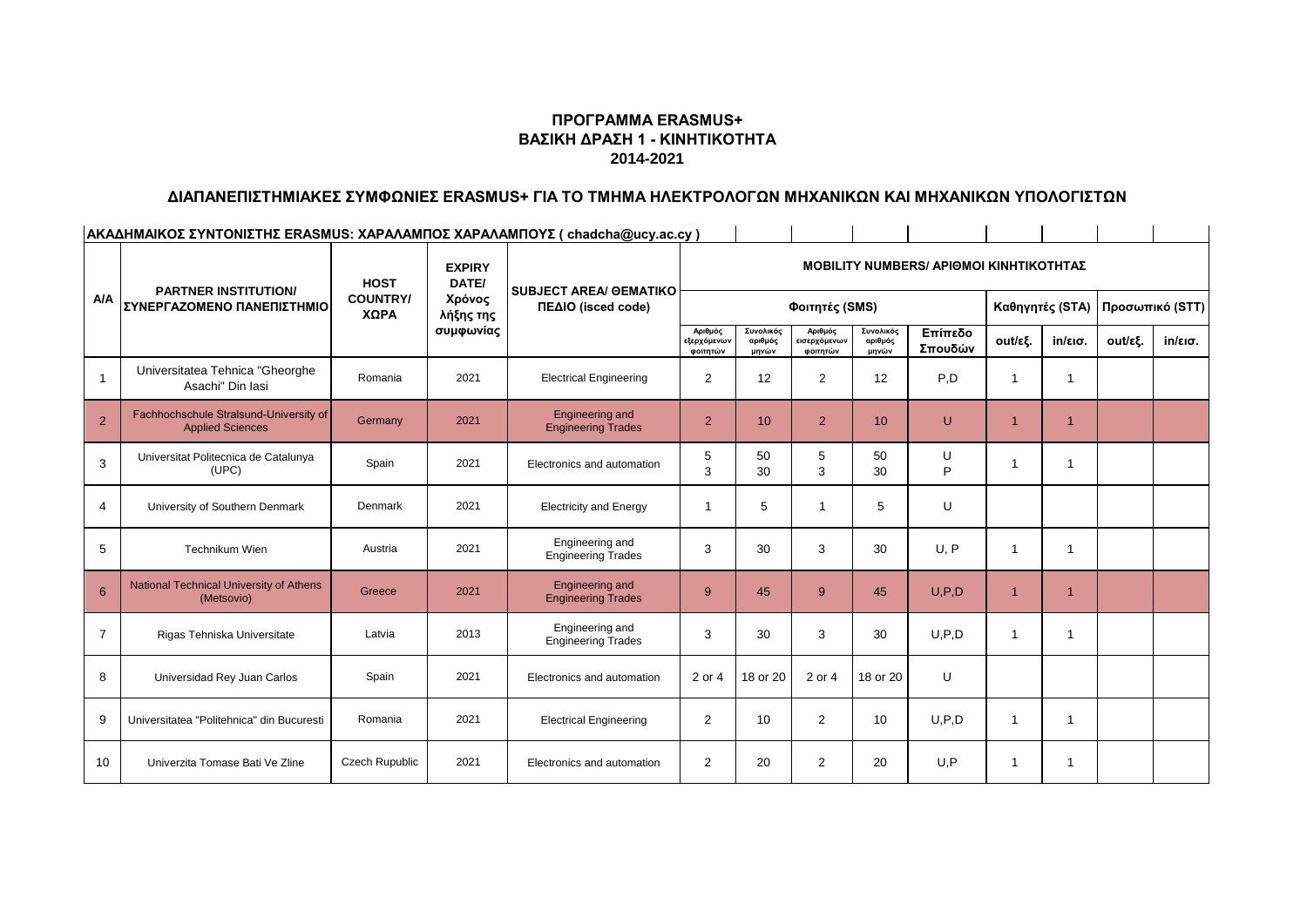## **ΠΡΟΓΡΑΜΜΑ ERASMUS+ ΒΑΣΙΚΗ ΔΡΑΣΗ 1 - ΚΙΝΗΤΙΚΟΤΗΤΑ 2014-2021**

#### **ΔΙΑΠΑΝΕΠΙΣΤΗΜΙΑΚΕΣ ΣΥΜΦΩΝΙΕΣ ERASMUS+ ΓΙΑ ΤΟ ΤΜΗΜΑ ΗΛΕΚΤΡΟΛΟΓΩΝ ΜΗΧΑΝΙΚΩΝ ΚΑΙ ΜΗΧΑΝΙΚΩΝ ΥΠΟΛΟΓΙΣΤΩΝ**

**ΑΚΑΔΗΜΑΙΚΟΣ ΣΥΝΤΟΝΙΣΤΗΣ ERASMUS: ΧΑΡΑΛΑΜΠΟΣ ΧΑΡΑΛΑΜΠΟΥΣ ( chadcha@ucy.ac.cy )** 

|                | <b>PARTNER INSTITUTION/</b><br>ΣΥΝΕΡΓΑΖΟΜΕΝΟ ΠΑΝΕΠΙΣΤΗΜΙΟ         | <b>HOST</b><br><b>COUNTRY/</b><br>ΧΩΡΑ | <b>EXPIRY</b><br>DATE/<br>Χρόνος<br>λήξης της<br>συμφωνίας | <b>SUBJECT AREA/ GEMATIKO</b><br>ΠΕΔΙΟ (isced code) | <b>MOBILITY NUMBERS/ APIOMOI KINHTIKOTHTAZ</b> |                               |                                     |                               |                    |                 |                   |                 |                   |
|----------------|-------------------------------------------------------------------|----------------------------------------|------------------------------------------------------------|-----------------------------------------------------|------------------------------------------------|-------------------------------|-------------------------------------|-------------------------------|--------------------|-----------------|-------------------|-----------------|-------------------|
| A/A            |                                                                   |                                        |                                                            |                                                     | Φοιτητές (SMS)                                 |                               |                                     |                               |                    | Καθηγητές (STA) |                   | Προσωπικό (STT) |                   |
|                |                                                                   |                                        |                                                            |                                                     | Αριθμός<br>εξερχόμενων<br>φοιτητών             | Συνολικός<br>αριθμός<br>μηνών | Αριθμός<br>εισερχόμενων<br>φοιτητών | Συνολικός<br>αριθμός<br>μηνών | Επίπεδο<br>Σπουδών | out/εξ.         | $in/\epsilon$ ισ. | out/εξ.         | $in/\epsilon$ ισ. |
| $\mathbf{1}$   | Universitatea Tehnica "Gheorghe<br>Asachi" Din Iasi               | Romania                                | 2021                                                       | <b>Electrical Engineering</b>                       | 2                                              | 12                            | 2                                   | 12                            | P.D                |                 | $\overline{1}$    |                 |                   |
| $\overline{2}$ | Fachhochschule Stralsund-University of<br><b>Applied Sciences</b> | Germany                                | 2021                                                       | <b>Engineering and</b><br><b>Engineering Trades</b> | $\overline{2}$                                 | 10                            | $\overline{2}$                      | 10 <sup>°</sup>               | U                  |                 | 1                 |                 |                   |
| 3              | Universitat Politecnica de Catalunya<br>(UPC)                     | Spain                                  | 2021                                                       | Electronics and automation                          | 5<br>3                                         | 50<br>30                      | 5<br>3                              | 50<br>30                      | U<br>P             |                 | 1                 |                 |                   |
| $\overline{4}$ | University of Southern Denmark                                    | Denmark                                | 2021                                                       | <b>Electricity and Energy</b>                       |                                                | 5                             |                                     | 5                             | U                  |                 |                   |                 |                   |
| 5              | Technikum Wien                                                    | Austria                                | 2021                                                       | Engineering and<br><b>Engineering Trades</b>        | 3                                              | 30                            | 3                                   | 30                            | U.P                |                 | 1                 |                 |                   |
| 6              | National Technical University of Athens<br>(Metsovio)             | Greece                                 | 2021                                                       | <b>Engineering and</b><br><b>Engineering Trades</b> | 9                                              | 45                            | 9                                   | 45                            | U, P, D            |                 | 1                 |                 |                   |
| $\overline{7}$ | Rigas Tehniska Universitate                                       | Latvia                                 | 2013                                                       | Engineering and<br><b>Engineering Trades</b>        | 3                                              | 30                            | 3                                   | 30                            | U.P.D              | -1              | 1                 |                 |                   |
| 8              | Universidad Rey Juan Carlos                                       | Spain                                  | 2021                                                       | Electronics and automation                          | 2 or 4                                         | 18 or 20                      | 2 or 4                              | 18 or 20                      | U                  |                 |                   |                 |                   |
| 9              | Universitatea "Politehnica" din Bucuresti                         | Romania                                | 2021                                                       | <b>Electrical Engineering</b>                       | 2                                              | 10                            | $\overline{2}$                      | 10                            | U.P.D              | -1              | 1                 |                 |                   |
| 10             | Univerzita Tomase Bati Ve Zline                                   | Czech Rupublic                         | 2021                                                       | Electronics and automation                          | 2                                              | 20                            | 2                                   | 20                            | U.P                | -1              | 1                 |                 |                   |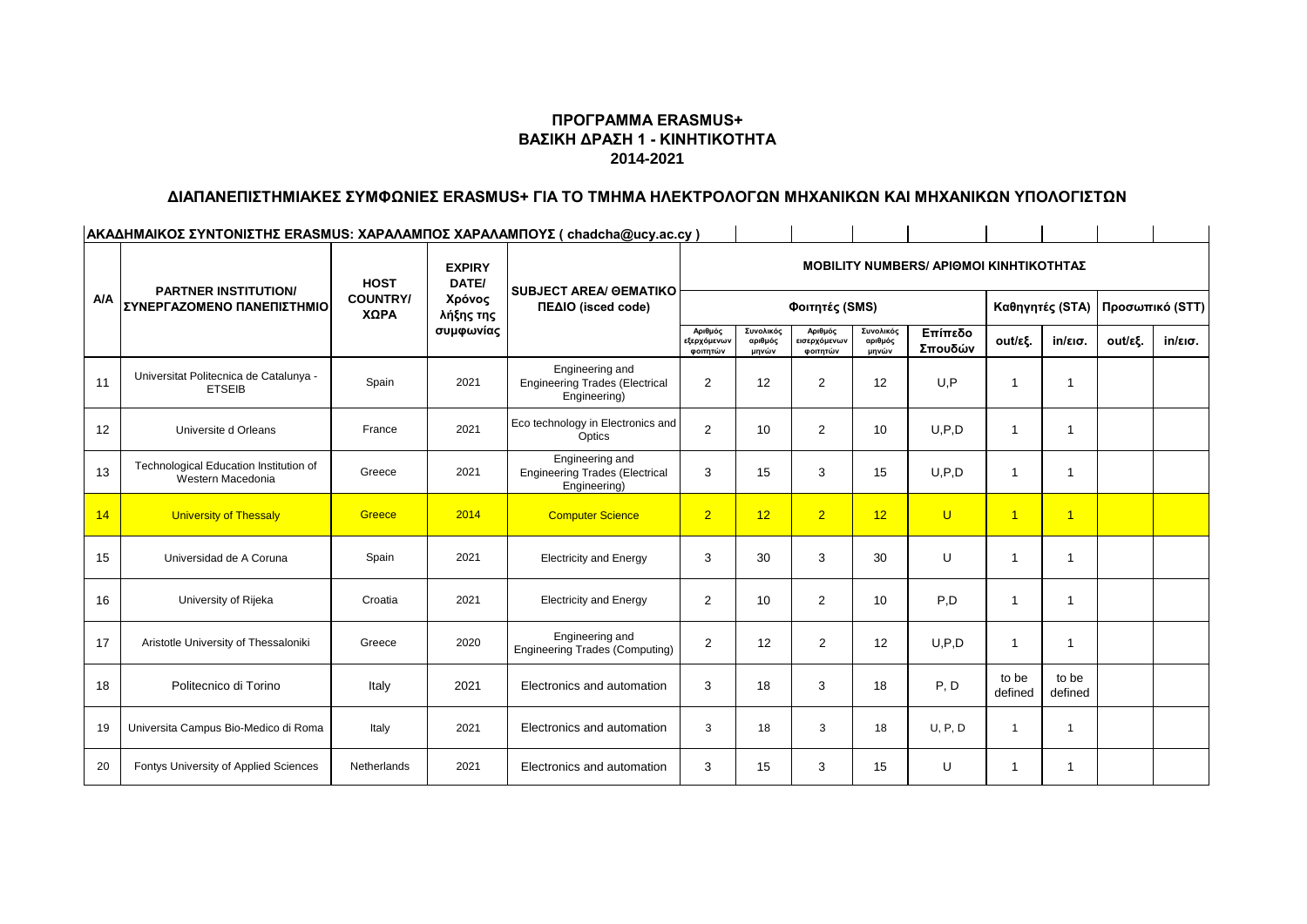## **ΠΡΟΓΡΑΜΜΑ ERASMUS+ ΒΑΣΙΚΗ ΔΡΑΣΗ 1 - ΚΙΝΗΤΙΚΟΤΗΤΑ 2014-2021**

# **ΔΙΑΠΑΝΕΠΙΣΤΗΜΙΑΚΕΣ ΣΥΜΦΩΝΙΕΣ ERASMUS+ ΓΙΑ ΤΟ ΤΜΗΜΑ ΗΛΕΚΤΡΟΛΟΓΩΝ ΜΗΧΑΝΙΚΩΝ ΚΑΙ ΜΗΧΑΝΙΚΩΝ ΥΠΟΛΟΓΙΣΤΩΝ**

 $\sim 1$ 

|            | ΑΚΑΔΗΜΑΙΚΟΣ ΣΥΝΤΟΝΙΣΤΗΣ ERASMUS: ΧΑΡΑΛΑΜΠΟΣ ΧΑΡΑΛΑΜΠΟΥΣ ( chadcha@ucy.ac.cy ) |                                        |                                                            |                                                                          |                                                |                               |                                     |                               |                    |                  |                   |                 |                   |
|------------|-------------------------------------------------------------------------------|----------------------------------------|------------------------------------------------------------|--------------------------------------------------------------------------|------------------------------------------------|-------------------------------|-------------------------------------|-------------------------------|--------------------|------------------|-------------------|-----------------|-------------------|
| <b>A/A</b> | <b>PARTNER INSTITUTION/</b><br>ΣΥΝΕΡΓΑΖΟΜΕΝΟ ΠΑΝΕΠΙΣΤΗΜΙΟ                     | <b>HOST</b><br><b>COUNTRY/</b><br>ΧΩΡΑ | <b>EXPIRY</b><br>DATE/<br>Χρόνος<br>λήξης της<br>συμφωνίας | <b>SUBJECT AREA/ GEMATIKO</b><br>ΠΕΔΙΟ (isced code)                      | <b>MOBILITY NUMBERS/ APIOMOI KINHTIKOTHTAZ</b> |                               |                                     |                               |                    |                  |                   |                 |                   |
|            |                                                                               |                                        |                                                            |                                                                          | Φοιτητές (SMS)                                 |                               |                                     |                               |                    |                  | Καθηγητές (STA)   | Προσωπικό (STT) |                   |
|            |                                                                               |                                        |                                                            |                                                                          | Αριθμός<br><b>εξερχόμενων</b><br>φοιτητών      | Συνολικός<br>αριθμός<br>μηνών | Αριθμός<br>εισερχόμενων<br>φοιτητών | Συνολικός<br>αριθμός<br>μηνών | Επίπεδο<br>Σπουδών | out/εξ.          | $in/\epsilon$ ισ. | out/εξ.         | $in/\epsilon$ ισ. |
| 11         | Universitat Politecnica de Catalunya -<br><b>ETSEIB</b>                       | Spain                                  | 2021                                                       | Engineering and<br><b>Engineering Trades (Electrical</b><br>Engineering) | 2                                              | 12                            | 2                                   | 12                            | U, P               |                  | $\mathbf 1$       |                 |                   |
| 12         | Universite d Orleans                                                          | France                                 | 2021                                                       | Eco technology in Electronics and<br>Optics                              | 2                                              | 10 <sup>1</sup>               | 2                                   | 10                            | U, P, D            | -1               | 1                 |                 |                   |
| 13         | Technological Education Institution of<br>Western Macedonia                   | Greece                                 | 2021                                                       | Engineering and<br><b>Engineering Trades (Electrical</b><br>Engineering) | 3                                              | 15                            | 3                                   | 15                            | U, P, D            |                  | -1                |                 |                   |
| 14         | <b>University of Thessaly</b>                                                 | Greece                                 | 2014                                                       | <b>Computer Science</b>                                                  | $\overline{2}$                                 | 12                            | $\overline{2}$                      | 12                            | U                  | $\overline{1}$   | $\overline{1}$    |                 |                   |
| 15         | Universidad de A Coruna                                                       | Spain                                  | 2021                                                       | <b>Electricity and Energy</b>                                            | 3                                              | 30                            | 3                                   | 30                            | U                  | -1               | 1                 |                 |                   |
| 16         | University of Rijeka                                                          | Croatia                                | 2021                                                       | <b>Electricity and Energy</b>                                            | $\overline{2}$                                 | 10                            | $\overline{2}$                      | 10                            | P,D                | -1               | 1                 |                 |                   |
| 17         | Aristotle University of Thessaloniki                                          | Greece                                 | 2020                                                       | Engineering and<br><b>Engineering Trades (Computing)</b>                 | $\overline{2}$                                 | 12                            | 2                                   | 12                            | U.P.D              | -1               | 1                 |                 |                   |
| 18         | Politecnico di Torino                                                         | Italy                                  | 2021                                                       | Electronics and automation                                               | 3                                              | 18                            | 3                                   | 18                            | P, D               | to be<br>defined | to be<br>defined  |                 |                   |
| 19         | Universita Campus Bio-Medico di Roma                                          | Italy                                  | 2021                                                       | Electronics and automation                                               | 3                                              | 18                            | 3                                   | 18                            | U, P, D            | -1               | -1                |                 |                   |
| 20         | Fontys University of Applied Sciences                                         | Netherlands                            | 2021                                                       | Electronics and automation                                               | 3                                              | 15                            | 3                                   | 15                            | U                  | -1               | 1                 |                 |                   |